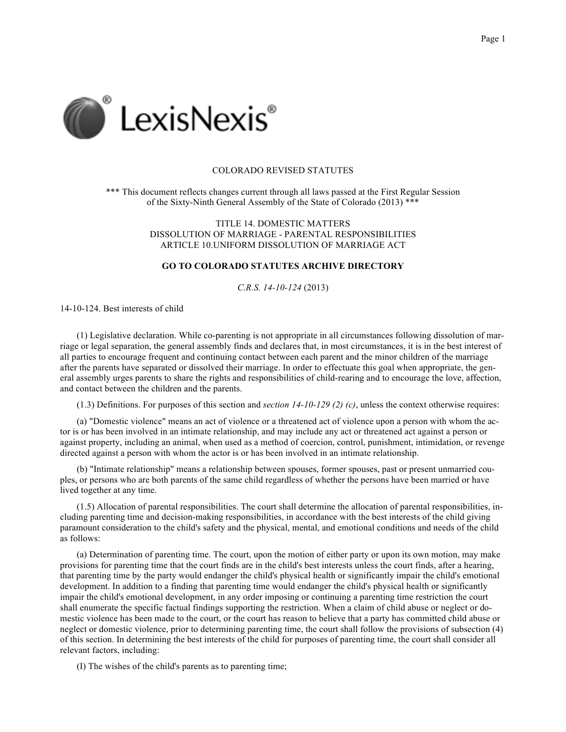

# COLORADO REVISED STATUTES

\*\*\* This document reflects changes current through all laws passed at the First Regular Session of the Sixty-Ninth General Assembly of the State of Colorado (2013) \*\*\*

> TITLE 14. DOMESTIC MATTERS DISSOLUTION OF MARRIAGE - PARENTAL RESPONSIBILITIES ARTICLE 10.UNIFORM DISSOLUTION OF MARRIAGE ACT

# **GO TO COLORADO STATUTES ARCHIVE DIRECTORY**

*C.R.S. 14-10-124* (2013)

14-10-124. Best interests of child

(1) Legislative declaration. While co-parenting is not appropriate in all circumstances following dissolution of marriage or legal separation, the general assembly finds and declares that, in most circumstances, it is in the best interest of all parties to encourage frequent and continuing contact between each parent and the minor children of the marriage after the parents have separated or dissolved their marriage. In order to effectuate this goal when appropriate, the general assembly urges parents to share the rights and responsibilities of child-rearing and to encourage the love, affection, and contact between the children and the parents.

(1.3) Definitions. For purposes of this section and *section 14-10-129 (2) (c)*, unless the context otherwise requires:

(a) "Domestic violence" means an act of violence or a threatened act of violence upon a person with whom the actor is or has been involved in an intimate relationship, and may include any act or threatened act against a person or against property, including an animal, when used as a method of coercion, control, punishment, intimidation, or revenge directed against a person with whom the actor is or has been involved in an intimate relationship.

(b) "Intimate relationship" means a relationship between spouses, former spouses, past or present unmarried couples, or persons who are both parents of the same child regardless of whether the persons have been married or have lived together at any time.

(1.5) Allocation of parental responsibilities. The court shall determine the allocation of parental responsibilities, including parenting time and decision-making responsibilities, in accordance with the best interests of the child giving paramount consideration to the child's safety and the physical, mental, and emotional conditions and needs of the child as follows:

(a) Determination of parenting time. The court, upon the motion of either party or upon its own motion, may make provisions for parenting time that the court finds are in the child's best interests unless the court finds, after a hearing, that parenting time by the party would endanger the child's physical health or significantly impair the child's emotional development. In addition to a finding that parenting time would endanger the child's physical health or significantly impair the child's emotional development, in any order imposing or continuing a parenting time restriction the court shall enumerate the specific factual findings supporting the restriction. When a claim of child abuse or neglect or domestic violence has been made to the court, or the court has reason to believe that a party has committed child abuse or neglect or domestic violence, prior to determining parenting time, the court shall follow the provisions of subsection (4) of this section. In determining the best interests of the child for purposes of parenting time, the court shall consider all relevant factors, including:

(I) The wishes of the child's parents as to parenting time;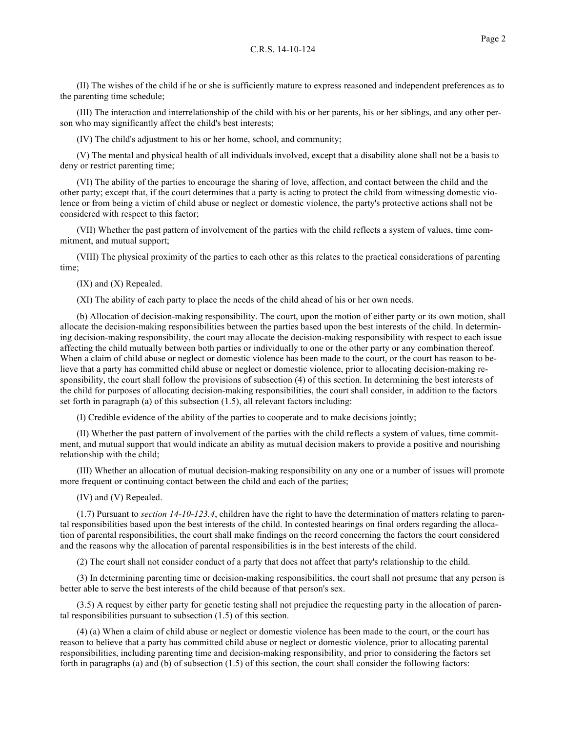(II) The wishes of the child if he or she is sufficiently mature to express reasoned and independent preferences as to the parenting time schedule;

(III) The interaction and interrelationship of the child with his or her parents, his or her siblings, and any other person who may significantly affect the child's best interests;

(IV) The child's adjustment to his or her home, school, and community;

(V) The mental and physical health of all individuals involved, except that a disability alone shall not be a basis to deny or restrict parenting time;

(VI) The ability of the parties to encourage the sharing of love, affection, and contact between the child and the other party; except that, if the court determines that a party is acting to protect the child from witnessing domestic violence or from being a victim of child abuse or neglect or domestic violence, the party's protective actions shall not be considered with respect to this factor;

(VII) Whether the past pattern of involvement of the parties with the child reflects a system of values, time commitment, and mutual support;

(VIII) The physical proximity of the parties to each other as this relates to the practical considerations of parenting time;

(IX) and (X) Repealed.

(XI) The ability of each party to place the needs of the child ahead of his or her own needs.

(b) Allocation of decision-making responsibility. The court, upon the motion of either party or its own motion, shall allocate the decision-making responsibilities between the parties based upon the best interests of the child. In determining decision-making responsibility, the court may allocate the decision-making responsibility with respect to each issue affecting the child mutually between both parties or individually to one or the other party or any combination thereof. When a claim of child abuse or neglect or domestic violence has been made to the court, or the court has reason to believe that a party has committed child abuse or neglect or domestic violence, prior to allocating decision-making responsibility, the court shall follow the provisions of subsection (4) of this section. In determining the best interests of the child for purposes of allocating decision-making responsibilities, the court shall consider, in addition to the factors set forth in paragraph (a) of this subsection (1.5), all relevant factors including:

(I) Credible evidence of the ability of the parties to cooperate and to make decisions jointly;

(II) Whether the past pattern of involvement of the parties with the child reflects a system of values, time commitment, and mutual support that would indicate an ability as mutual decision makers to provide a positive and nourishing relationship with the child;

(III) Whether an allocation of mutual decision-making responsibility on any one or a number of issues will promote more frequent or continuing contact between the child and each of the parties;

(IV) and (V) Repealed.

(1.7) Pursuant to *section 14-10-123.4*, children have the right to have the determination of matters relating to parental responsibilities based upon the best interests of the child. In contested hearings on final orders regarding the allocation of parental responsibilities, the court shall make findings on the record concerning the factors the court considered and the reasons why the allocation of parental responsibilities is in the best interests of the child.

(2) The court shall not consider conduct of a party that does not affect that party's relationship to the child.

(3) In determining parenting time or decision-making responsibilities, the court shall not presume that any person is better able to serve the best interests of the child because of that person's sex.

(3.5) A request by either party for genetic testing shall not prejudice the requesting party in the allocation of parental responsibilities pursuant to subsection (1.5) of this section.

(4) (a) When a claim of child abuse or neglect or domestic violence has been made to the court, or the court has reason to believe that a party has committed child abuse or neglect or domestic violence, prior to allocating parental responsibilities, including parenting time and decision-making responsibility, and prior to considering the factors set forth in paragraphs (a) and (b) of subsection (1.5) of this section, the court shall consider the following factors: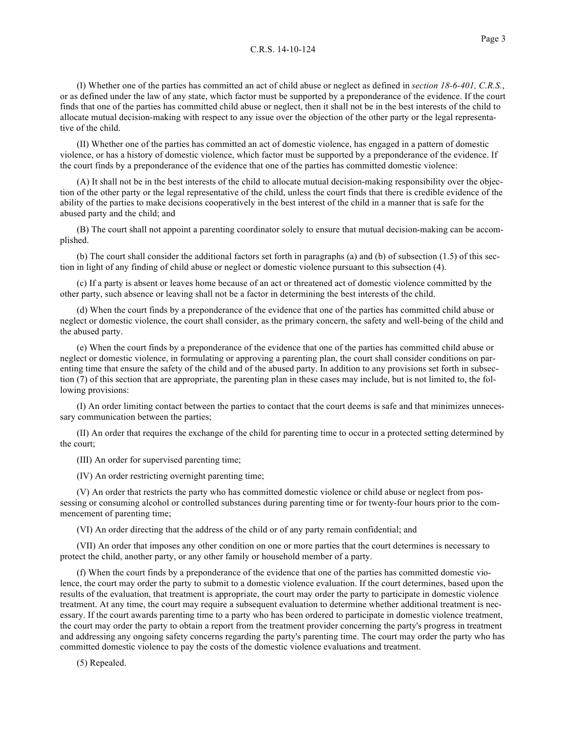(I) Whether one of the parties has committed an act of child abuse or neglect as defined in *section 18-6-401, C.R.S.*, or as defined under the law of any state, which factor must be supported by a preponderance of the evidence. If the court finds that one of the parties has committed child abuse or neglect, then it shall not be in the best interests of the child to allocate mutual decision-making with respect to any issue over the objection of the other party or the legal representative of the child.

(II) Whether one of the parties has committed an act of domestic violence, has engaged in a pattern of domestic violence, or has a history of domestic violence, which factor must be supported by a preponderance of the evidence. If the court finds by a preponderance of the evidence that one of the parties has committed domestic violence:

(A) It shall not be in the best interests of the child to allocate mutual decision-making responsibility over the objection of the other party or the legal representative of the child, unless the court finds that there is credible evidence of the ability of the parties to make decisions cooperatively in the best interest of the child in a manner that is safe for the abused party and the child; and

(B) The court shall not appoint a parenting coordinator solely to ensure that mutual decision-making can be accomplished.

(b) The court shall consider the additional factors set forth in paragraphs (a) and (b) of subsection (1.5) of this section in light of any finding of child abuse or neglect or domestic violence pursuant to this subsection (4).

(c) If a party is absent or leaves home because of an act or threatened act of domestic violence committed by the other party, such absence or leaving shall not be a factor in determining the best interests of the child.

(d) When the court finds by a preponderance of the evidence that one of the parties has committed child abuse or neglect or domestic violence, the court shall consider, as the primary concern, the safety and well-being of the child and the abused party.

(e) When the court finds by a preponderance of the evidence that one of the parties has committed child abuse or neglect or domestic violence, in formulating or approving a parenting plan, the court shall consider conditions on parenting time that ensure the safety of the child and of the abused party. In addition to any provisions set forth in subsection (7) of this section that are appropriate, the parenting plan in these cases may include, but is not limited to, the following provisions:

(I) An order limiting contact between the parties to contact that the court deems is safe and that minimizes unnecessary communication between the parties;

(II) An order that requires the exchange of the child for parenting time to occur in a protected setting determined by the court;

(III) An order for supervised parenting time;

(IV) An order restricting overnight parenting time;

(V) An order that restricts the party who has committed domestic violence or child abuse or neglect from possessing or consuming alcohol or controlled substances during parenting time or for twenty-four hours prior to the commencement of parenting time;

(VI) An order directing that the address of the child or of any party remain confidential; and

(VII) An order that imposes any other condition on one or more parties that the court determines is necessary to protect the child, another party, or any other family or household member of a party.

(f) When the court finds by a preponderance of the evidence that one of the parties has committed domestic violence, the court may order the party to submit to a domestic violence evaluation. If the court determines, based upon the results of the evaluation, that treatment is appropriate, the court may order the party to participate in domestic violence treatment. At any time, the court may require a subsequent evaluation to determine whether additional treatment is necessary. If the court awards parenting time to a party who has been ordered to participate in domestic violence treatment, the court may order the party to obtain a report from the treatment provider concerning the party's progress in treatment and addressing any ongoing safety concerns regarding the party's parenting time. The court may order the party who has committed domestic violence to pay the costs of the domestic violence evaluations and treatment.

(5) Repealed.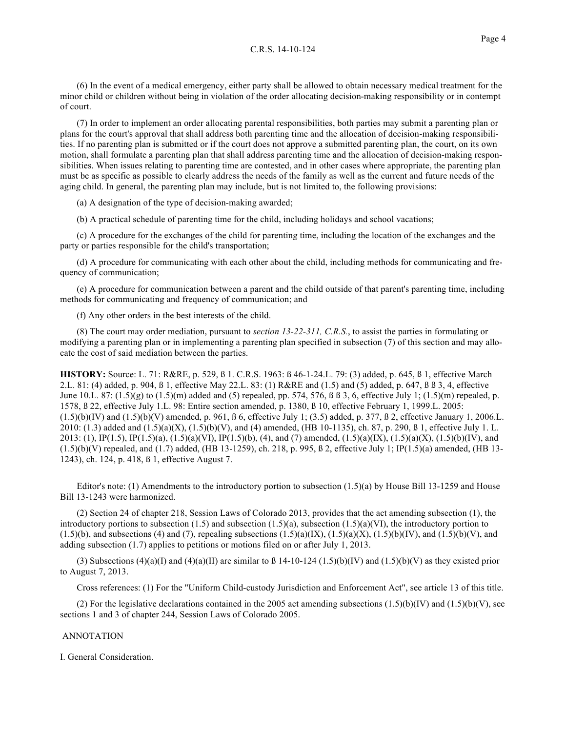(6) In the event of a medical emergency, either party shall be allowed to obtain necessary medical treatment for the minor child or children without being in violation of the order allocating decision-making responsibility or in contempt of court.

(7) In order to implement an order allocating parental responsibilities, both parties may submit a parenting plan or plans for the court's approval that shall address both parenting time and the allocation of decision-making responsibilities. If no parenting plan is submitted or if the court does not approve a submitted parenting plan, the court, on its own motion, shall formulate a parenting plan that shall address parenting time and the allocation of decision-making responsibilities. When issues relating to parenting time are contested, and in other cases where appropriate, the parenting plan must be as specific as possible to clearly address the needs of the family as well as the current and future needs of the aging child. In general, the parenting plan may include, but is not limited to, the following provisions:

(a) A designation of the type of decision-making awarded;

(b) A practical schedule of parenting time for the child, including holidays and school vacations;

(c) A procedure for the exchanges of the child for parenting time, including the location of the exchanges and the party or parties responsible for the child's transportation;

(d) A procedure for communicating with each other about the child, including methods for communicating and frequency of communication;

(e) A procedure for communication between a parent and the child outside of that parent's parenting time, including methods for communicating and frequency of communication; and

(f) Any other orders in the best interests of the child.

(8) The court may order mediation, pursuant to *section 13-22-311, C.R.S.*, to assist the parties in formulating or modifying a parenting plan or in implementing a parenting plan specified in subsection (7) of this section and may allocate the cost of said mediation between the parties.

**HISTORY:** Source: L. 71: R&RE, p. 529, ß 1. C.R.S. 1963: ß 46-1-24.L. 79: (3) added, p. 645, ß 1, effective March 2.L. 81: (4) added, p. 904, ß 1, effective May 22.L. 83: (1) R&RE and (1.5) and (5) added, p. 647, ß ß 3, 4, effective June 10.L. 87: (1.5)(g) to (1.5)(m) added and (5) repealed, pp. 574, 576, ß ß 3, 6, effective July 1; (1.5)(m) repealed, p. 1578, ß 22, effective July 1.L. 98: Entire section amended, p. 1380, ß 10, effective February 1, 1999.L. 2005:  $(1.5)(b)(IV)$  and  $(1.5)(b)(V)$  amended, p. 961,  $\beta$  6, effective July 1; (3.5) added, p. 377,  $\beta$  2, effective January 1, 2006.L. 2010: (1.3) added and  $(1.5)(a)(X)$ ,  $(1.5)(b)(V)$ , and (4) amended, (HB 10-1135), ch. 87, p. 290,  $\beta$  1, effective July 1. L. 2013: (1), IP(1.5), IP(1.5)(a), (1.5)(a)(VI), IP(1.5)(b), (4), and (7) amended, (1.5)(a)(IX), (1.5)(a)(X), (1.5)(b)(IV), and  $(1.5)(b)(V)$  repealed, and (1.7) added, (HB 13-1259), ch. 218, p. 995, ß 2, effective July 1; IP(1.5)(a) amended, (HB 13-1243), ch. 124, p. 418, ß 1, effective August 7.

Editor's note: (1) Amendments to the introductory portion to subsection (1.5)(a) by House Bill 13-1259 and House Bill 13-1243 were harmonized.

(2) Section 24 of chapter 218, Session Laws of Colorado 2013, provides that the act amending subsection (1), the introductory portions to subsection (1.5) and subsection (1.5)(a), subsection (1.5)(a)(VI), the introductory portion to  $(1.5)(b)$ , and subsections (4) and (7), repealing subsections  $(1.5)(a)(IX)$ ,  $(1.5)(a)(X)$ ,  $(1.5)(b)(IV)$ , and  $(1.5)(b)(V)$ , and adding subsection (1.7) applies to petitions or motions filed on or after July 1, 2013.

(3) Subsections (4)(a)(I) and (4)(a)(II) are similar to  $\beta$  14-10-124 (1.5)(b)(IV) and (1.5)(b)(V) as they existed prior to August 7, 2013.

Cross references: (1) For the "Uniform Child-custody Jurisdiction and Enforcement Act", see article 13 of this title.

(2) For the legislative declarations contained in the 2005 act amending subsections  $(1.5)(b)(IV)$  and  $(1.5)(b)(V)$ , see sections 1 and 3 of chapter 244, Session Laws of Colorado 2005.

# ANNOTATION

I. General Consideration.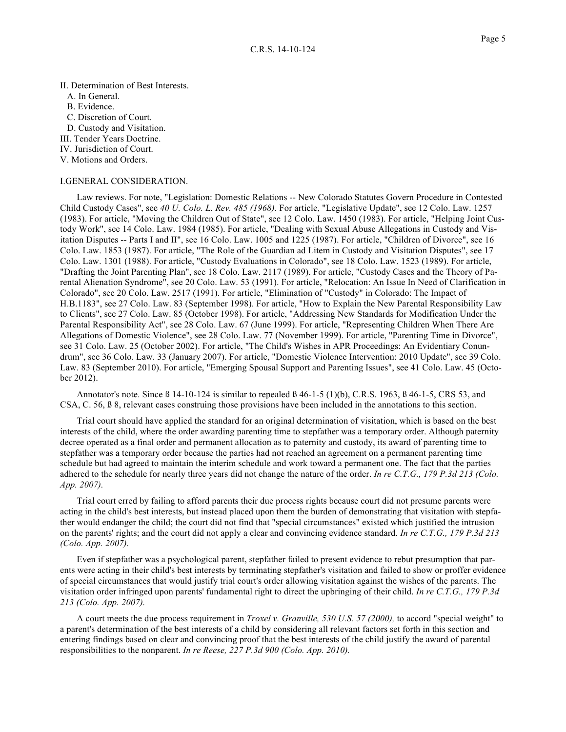II. Determination of Best Interests. A. In General. B. Evidence. C. Discretion of Court. D. Custody and Visitation. III. Tender Years Doctrine. IV. Jurisdiction of Court. V. Motions and Orders.

#### I.GENERAL CONSIDERATION.

Law reviews. For note, "Legislation: Domestic Relations -- New Colorado Statutes Govern Procedure in Contested Child Custody Cases", see *40 U. Colo. L. Rev. 485 (1968).* For article, "Legislative Update", see 12 Colo. Law. 1257 (1983). For article, "Moving the Children Out of State", see 12 Colo. Law. 1450 (1983). For article, "Helping Joint Custody Work", see 14 Colo. Law. 1984 (1985). For article, "Dealing with Sexual Abuse Allegations in Custody and Visitation Disputes -- Parts I and II", see 16 Colo. Law. 1005 and 1225 (1987). For article, "Children of Divorce", see 16 Colo. Law. 1853 (1987). For article, "The Role of the Guardian ad Litem in Custody and Visitation Disputes", see 17 Colo. Law. 1301 (1988). For article, "Custody Evaluations in Colorado", see 18 Colo. Law. 1523 (1989). For article, "Drafting the Joint Parenting Plan", see 18 Colo. Law. 2117 (1989). For article, "Custody Cases and the Theory of Parental Alienation Syndrome", see 20 Colo. Law. 53 (1991). For article, "Relocation: An Issue In Need of Clarification in Colorado", see 20 Colo. Law. 2517 (1991). For article, "Elimination of "Custody" in Colorado: The Impact of H.B.1183", see 27 Colo. Law. 83 (September 1998). For article, "How to Explain the New Parental Responsibility Law to Clients", see 27 Colo. Law. 85 (October 1998). For article, "Addressing New Standards for Modification Under the Parental Responsibility Act", see 28 Colo. Law. 67 (June 1999). For article, "Representing Children When There Are Allegations of Domestic Violence", see 28 Colo. Law. 77 (November 1999). For article, "Parenting Time in Divorce", see 31 Colo. Law. 25 (October 2002). For article, "The Child's Wishes in APR Proceedings: An Evidentiary Conundrum", see 36 Colo. Law. 33 (January 2007). For article, "Domestic Violence Intervention: 2010 Update", see 39 Colo. Law. 83 (September 2010). For article, "Emerging Spousal Support and Parenting Issues", see 41 Colo. Law. 45 (October 2012).

Annotator's note. Since ß 14-10-124 is similar to repealed ß 46-1-5 (1)(b), C.R.S. 1963, ß 46-1-5, CRS 53, and CSA, C. 56, ß 8, relevant cases construing those provisions have been included in the annotations to this section.

Trial court should have applied the standard for an original determination of visitation, which is based on the best interests of the child, where the order awarding parenting time to stepfather was a temporary order. Although paternity decree operated as a final order and permanent allocation as to paternity and custody, its award of parenting time to stepfather was a temporary order because the parties had not reached an agreement on a permanent parenting time schedule but had agreed to maintain the interim schedule and work toward a permanent one. The fact that the parties adhered to the schedule for nearly three years did not change the nature of the order. *In re C.T.G., 179 P.3d 213 (Colo. App. 2007).*

Trial court erred by failing to afford parents their due process rights because court did not presume parents were acting in the child's best interests, but instead placed upon them the burden of demonstrating that visitation with stepfather would endanger the child; the court did not find that "special circumstances" existed which justified the intrusion on the parents' rights; and the court did not apply a clear and convincing evidence standard. *In re C.T.G., 179 P.3d 213 (Colo. App. 2007).*

Even if stepfather was a psychological parent, stepfather failed to present evidence to rebut presumption that parents were acting in their child's best interests by terminating stepfather's visitation and failed to show or proffer evidence of special circumstances that would justify trial court's order allowing visitation against the wishes of the parents. The visitation order infringed upon parents' fundamental right to direct the upbringing of their child. *In re C.T.G., 179 P.3d 213 (Colo. App. 2007).*

A court meets the due process requirement in *Troxel v. Granville, 530 U.S. 57 (2000),* to accord "special weight" to a parent's determination of the best interests of a child by considering all relevant factors set forth in this section and entering findings based on clear and convincing proof that the best interests of the child justify the award of parental responsibilities to the nonparent. *In re Reese, 227 P.3d 900 (Colo. App. 2010).*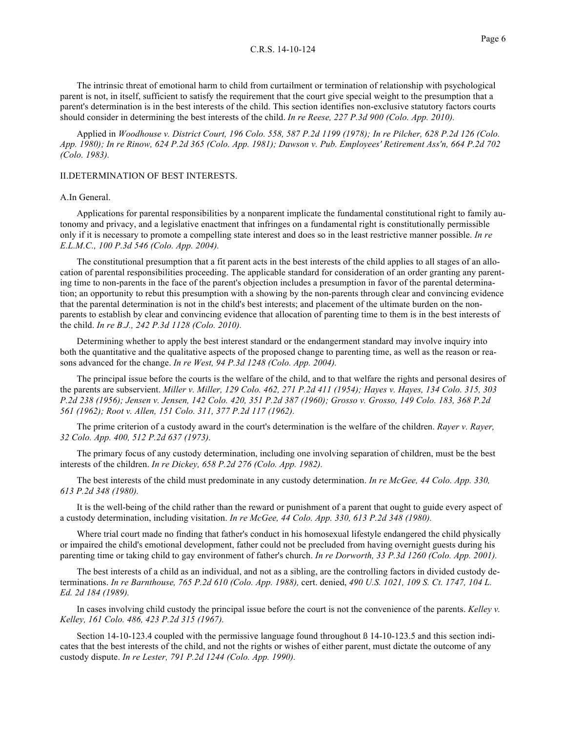The intrinsic threat of emotional harm to child from curtailment or termination of relationship with psychological parent is not, in itself, sufficient to satisfy the requirement that the court give special weight to the presumption that a parent's determination is in the best interests of the child. This section identifies non-exclusive statutory factors courts should consider in determining the best interests of the child. *In re Reese, 227 P.3d 900 (Colo. App. 2010).*

Applied in *Woodhouse v. District Court, 196 Colo. 558, 587 P.2d 1199 (1978); In re Pilcher, 628 P.2d 126 (Colo. App. 1980); In re Rinow, 624 P.2d 365 (Colo. App. 1981); Dawson v. Pub. Employees' Retirement Ass'n, 664 P.2d 702 (Colo. 1983).*

# II.DETERMINATION OF BEST INTERESTS.

#### A.In General.

Applications for parental responsibilities by a nonparent implicate the fundamental constitutional right to family autonomy and privacy, and a legislative enactment that infringes on a fundamental right is constitutionally permissible only if it is necessary to promote a compelling state interest and does so in the least restrictive manner possible. *In re E.L.M.C., 100 P.3d 546 (Colo. App. 2004).*

The constitutional presumption that a fit parent acts in the best interests of the child applies to all stages of an allocation of parental responsibilities proceeding. The applicable standard for consideration of an order granting any parenting time to non-parents in the face of the parent's objection includes a presumption in favor of the parental determination; an opportunity to rebut this presumption with a showing by the non-parents through clear and convincing evidence that the parental determination is not in the child's best interests; and placement of the ultimate burden on the nonparents to establish by clear and convincing evidence that allocation of parenting time to them is in the best interests of the child. *In re B.J., 242 P.3d 1128 (Colo. 2010).*

Determining whether to apply the best interest standard or the endangerment standard may involve inquiry into both the quantitative and the qualitative aspects of the proposed change to parenting time, as well as the reason or reasons advanced for the change. *In re West, 94 P.3d 1248 (Colo. App. 2004).*

The principal issue before the courts is the welfare of the child, and to that welfare the rights and personal desires of the parents are subservient. *Miller v. Miller, 129 Colo. 462, 271 P.2d 411 (1954); Hayes v. Hayes, 134 Colo. 315, 303 P.2d 238 (1956); Jensen v. Jensen, 142 Colo. 420, 351 P.2d 387 (1960); Grosso v. Grosso, 149 Colo. 183, 368 P.2d 561 (1962); Root v. Allen, 151 Colo. 311, 377 P.2d 117 (1962).*

The prime criterion of a custody award in the court's determination is the welfare of the children. *Rayer v. Rayer, 32 Colo. App. 400, 512 P.2d 637 (1973).*

The primary focus of any custody determination, including one involving separation of children, must be the best interests of the children. *In re Dickey, 658 P.2d 276 (Colo. App. 1982).*

The best interests of the child must predominate in any custody determination. *In re McGee, 44 Colo. App. 330, 613 P.2d 348 (1980).*

It is the well-being of the child rather than the reward or punishment of a parent that ought to guide every aspect of a custody determination, including visitation. *In re McGee, 44 Colo. App. 330, 613 P.2d 348 (1980).*

Where trial court made no finding that father's conduct in his homosexual lifestyle endangered the child physically or impaired the child's emotional development, father could not be precluded from having overnight guests during his parenting time or taking child to gay environment of father's church. *In re Dorworth, 33 P.3d 1260 (Colo. App. 2001).*

The best interests of a child as an individual, and not as a sibling, are the controlling factors in divided custody determinations. *In re Barnthouse, 765 P.2d 610 (Colo. App. 1988),* cert. denied, *490 U.S. 1021, 109 S. Ct. 1747, 104 L. Ed. 2d 184 (1989).*

In cases involving child custody the principal issue before the court is not the convenience of the parents. *Kelley v. Kelley, 161 Colo. 486, 423 P.2d 315 (1967).*

Section 14-10-123.4 coupled with the permissive language found throughout ß 14-10-123.5 and this section indicates that the best interests of the child, and not the rights or wishes of either parent, must dictate the outcome of any custody dispute. *In re Lester, 791 P.2d 1244 (Colo. App. 1990).*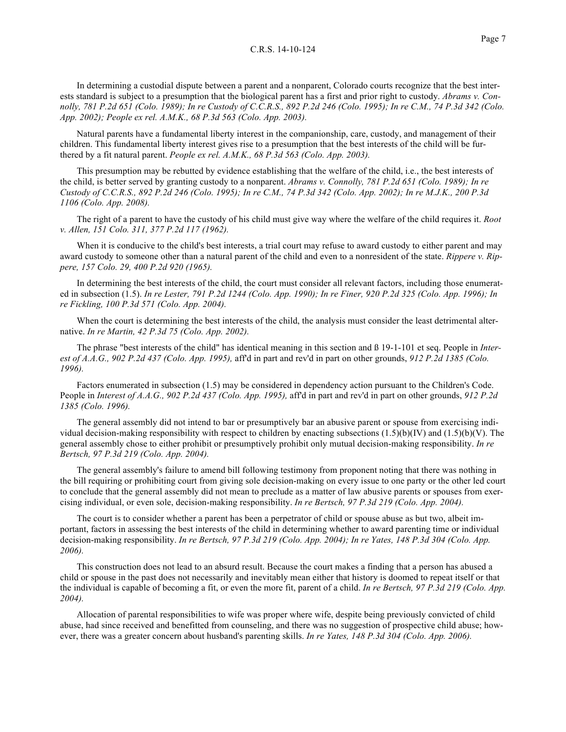In determining a custodial dispute between a parent and a nonparent, Colorado courts recognize that the best interests standard is subject to a presumption that the biological parent has a first and prior right to custody. *Abrams v. Connolly, 781 P.2d 651 (Colo. 1989); In re Custody of C.C.R.S., 892 P.2d 246 (Colo. 1995); In re C.M., 74 P.3d 342 (Colo. App. 2002); People ex rel. A.M.K., 68 P.3d 563 (Colo. App. 2003).*

Natural parents have a fundamental liberty interest in the companionship, care, custody, and management of their children. This fundamental liberty interest gives rise to a presumption that the best interests of the child will be furthered by a fit natural parent. *People ex rel. A.M.K., 68 P.3d 563 (Colo. App. 2003).*

This presumption may be rebutted by evidence establishing that the welfare of the child, i.e., the best interests of the child, is better served by granting custody to a nonparent. *Abrams v. Connolly, 781 P.2d 651 (Colo. 1989); In re Custody of C.C.R.S., 892 P.2d 246 (Colo. 1995); In re C.M., 74 P.3d 342 (Colo. App. 2002); In re M.J.K., 200 P.3d 1106 (Colo. App. 2008).*

The right of a parent to have the custody of his child must give way where the welfare of the child requires it. *Root v. Allen, 151 Colo. 311, 377 P.2d 117 (1962).*

When it is conducive to the child's best interests, a trial court may refuse to award custody to either parent and may award custody to someone other than a natural parent of the child and even to a nonresident of the state. *Rippere v. Rippere, 157 Colo. 29, 400 P.2d 920 (1965).*

In determining the best interests of the child, the court must consider all relevant factors, including those enumerated in subsection (1.5). *In re Lester, 791 P.2d 1244 (Colo. App. 1990); In re Finer, 920 P.2d 325 (Colo. App. 1996); In re Fickling, 100 P.3d 571 (Colo. App. 2004).*

When the court is determining the best interests of the child, the analysis must consider the least detrimental alternative. *In re Martin, 42 P.3d 75 (Colo. App. 2002).*

The phrase "best interests of the child" has identical meaning in this section and ß 19-1-101 et seq. People in *Interest of A.A.G., 902 P.2d 437 (Colo. App. 1995),* aff'd in part and rev'd in part on other grounds, *912 P.2d 1385 (Colo. 1996).*

Factors enumerated in subsection (1.5) may be considered in dependency action pursuant to the Children's Code. People in *Interest of A.A.G., 902 P.2d 437 (Colo. App. 1995),* aff'd in part and rev'd in part on other grounds, *912 P.2d 1385 (Colo. 1996).*

The general assembly did not intend to bar or presumptively bar an abusive parent or spouse from exercising individual decision-making responsibility with respect to children by enacting subsections  $(1.5)(b)(IV)$  and  $(1.5)(b)(V)$ . The general assembly chose to either prohibit or presumptively prohibit only mutual decision-making responsibility. *In re Bertsch, 97 P.3d 219 (Colo. App. 2004).*

The general assembly's failure to amend bill following testimony from proponent noting that there was nothing in the bill requiring or prohibiting court from giving sole decision-making on every issue to one party or the other led court to conclude that the general assembly did not mean to preclude as a matter of law abusive parents or spouses from exercising individual, or even sole, decision-making responsibility. *In re Bertsch, 97 P.3d 219 (Colo. App. 2004).*

The court is to consider whether a parent has been a perpetrator of child or spouse abuse as but two, albeit important, factors in assessing the best interests of the child in determining whether to award parenting time or individual decision-making responsibility. *In re Bertsch, 97 P.3d 219 (Colo. App. 2004); In re Yates, 148 P.3d 304 (Colo. App. 2006).*

This construction does not lead to an absurd result. Because the court makes a finding that a person has abused a child or spouse in the past does not necessarily and inevitably mean either that history is doomed to repeat itself or that the individual is capable of becoming a fit, or even the more fit, parent of a child. *In re Bertsch, 97 P.3d 219 (Colo. App. 2004).*

Allocation of parental responsibilities to wife was proper where wife, despite being previously convicted of child abuse, had since received and benefitted from counseling, and there was no suggestion of prospective child abuse; however, there was a greater concern about husband's parenting skills. *In re Yates, 148 P.3d 304 (Colo. App. 2006).*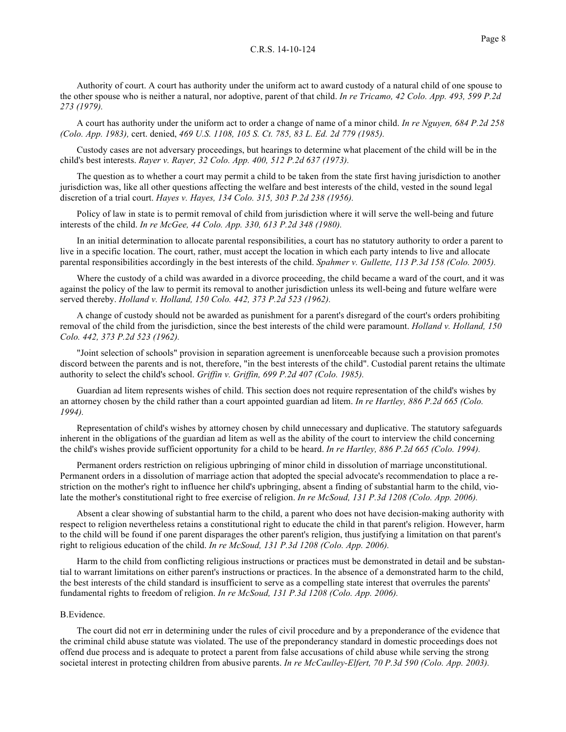Authority of court. A court has authority under the uniform act to award custody of a natural child of one spouse to the other spouse who is neither a natural, nor adoptive, parent of that child. *In re Tricamo, 42 Colo. App. 493, 599 P.2d 273 (1979).*

A court has authority under the uniform act to order a change of name of a minor child. *In re Nguyen, 684 P.2d 258 (Colo. App. 1983),* cert. denied, *469 U.S. 1108, 105 S. Ct. 785, 83 L. Ed. 2d 779 (1985).*

Custody cases are not adversary proceedings, but hearings to determine what placement of the child will be in the child's best interests. *Rayer v. Rayer, 32 Colo. App. 400, 512 P.2d 637 (1973).*

The question as to whether a court may permit a child to be taken from the state first having jurisdiction to another jurisdiction was, like all other questions affecting the welfare and best interests of the child, vested in the sound legal discretion of a trial court. *Hayes v. Hayes, 134 Colo. 315, 303 P.2d 238 (1956).*

Policy of law in state is to permit removal of child from jurisdiction where it will serve the well-being and future interests of the child. *In re McGee, 44 Colo. App. 330, 613 P.2d 348 (1980).*

In an initial determination to allocate parental responsibilities, a court has no statutory authority to order a parent to live in a specific location. The court, rather, must accept the location in which each party intends to live and allocate parental responsibilities accordingly in the best interests of the child. *Spahmer v. Gullette, 113 P.3d 158 (Colo. 2005).*

Where the custody of a child was awarded in a divorce proceeding, the child became a ward of the court, and it was against the policy of the law to permit its removal to another jurisdiction unless its well-being and future welfare were served thereby. *Holland v. Holland, 150 Colo. 442, 373 P.2d 523 (1962).*

A change of custody should not be awarded as punishment for a parent's disregard of the court's orders prohibiting removal of the child from the jurisdiction, since the best interests of the child were paramount. *Holland v. Holland, 150 Colo. 442, 373 P.2d 523 (1962).*

"Joint selection of schools" provision in separation agreement is unenforceable because such a provision promotes discord between the parents and is not, therefore, "in the best interests of the child". Custodial parent retains the ultimate authority to select the child's school. *Griffin v. Griffin, 699 P.2d 407 (Colo. 1985).*

Guardian ad litem represents wishes of child. This section does not require representation of the child's wishes by an attorney chosen by the child rather than a court appointed guardian ad litem. *In re Hartley, 886 P.2d 665 (Colo. 1994).*

Representation of child's wishes by attorney chosen by child unnecessary and duplicative. The statutory safeguards inherent in the obligations of the guardian ad litem as well as the ability of the court to interview the child concerning the child's wishes provide sufficient opportunity for a child to be heard. *In re Hartley, 886 P.2d 665 (Colo. 1994).*

Permanent orders restriction on religious upbringing of minor child in dissolution of marriage unconstitutional. Permanent orders in a dissolution of marriage action that adopted the special advocate's recommendation to place a restriction on the mother's right to influence her child's upbringing, absent a finding of substantial harm to the child, violate the mother's constitutional right to free exercise of religion. *In re McSoud, 131 P.3d 1208 (Colo. App. 2006).*

Absent a clear showing of substantial harm to the child, a parent who does not have decision-making authority with respect to religion nevertheless retains a constitutional right to educate the child in that parent's religion. However, harm to the child will be found if one parent disparages the other parent's religion, thus justifying a limitation on that parent's right to religious education of the child. *In re McSoud, 131 P.3d 1208 (Colo. App. 2006).*

Harm to the child from conflicting religious instructions or practices must be demonstrated in detail and be substantial to warrant limitations on either parent's instructions or practices. In the absence of a demonstrated harm to the child, the best interests of the child standard is insufficient to serve as a compelling state interest that overrules the parents' fundamental rights to freedom of religion. *In re McSoud, 131 P.3d 1208 (Colo. App. 2006).*

#### B.Evidence.

The court did not err in determining under the rules of civil procedure and by a preponderance of the evidence that the criminal child abuse statute was violated. The use of the preponderancy standard in domestic proceedings does not offend due process and is adequate to protect a parent from false accusations of child abuse while serving the strong societal interest in protecting children from abusive parents. *In re McCaulley-Elfert, 70 P.3d 590 (Colo. App. 2003).*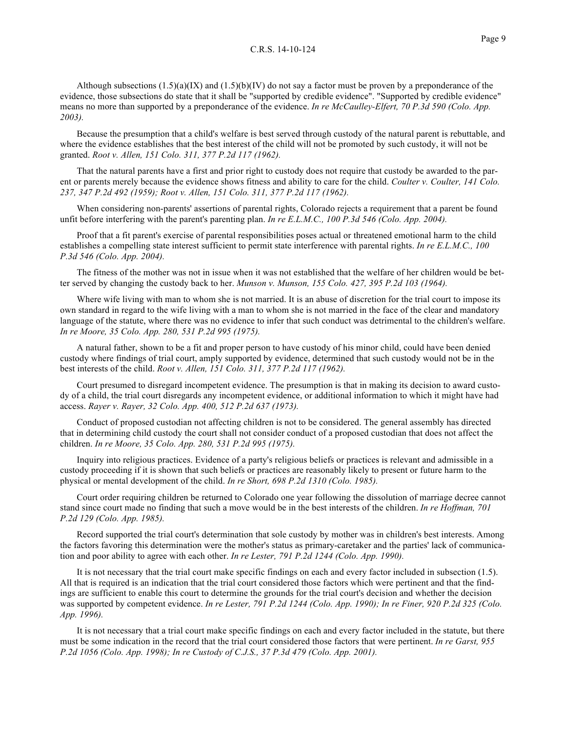Although subsections  $(1.5)(a)(IX)$  and  $(1.5)(b)(IV)$  do not say a factor must be proven by a preponderance of the evidence, those subsections do state that it shall be "supported by credible evidence". "Supported by credible evidence" means no more than supported by a preponderance of the evidence. *In re McCaulley-Elfert, 70 P.3d 590 (Colo. App. 2003).*

Because the presumption that a child's welfare is best served through custody of the natural parent is rebuttable, and where the evidence establishes that the best interest of the child will not be promoted by such custody, it will not be granted. *Root v. Allen, 151 Colo. 311, 377 P.2d 117 (1962).*

That the natural parents have a first and prior right to custody does not require that custody be awarded to the parent or parents merely because the evidence shows fitness and ability to care for the child. *Coulter v. Coulter, 141 Colo. 237, 347 P.2d 492 (1959); Root v. Allen, 151 Colo. 311, 377 P.2d 117 (1962).*

When considering non-parents' assertions of parental rights, Colorado rejects a requirement that a parent be found unfit before interfering with the parent's parenting plan. *In re E.L.M.C., 100 P.3d 546 (Colo. App. 2004).*

Proof that a fit parent's exercise of parental responsibilities poses actual or threatened emotional harm to the child establishes a compelling state interest sufficient to permit state interference with parental rights. *In re E.L.M.C., 100 P.3d 546 (Colo. App. 2004).*

The fitness of the mother was not in issue when it was not established that the welfare of her children would be better served by changing the custody back to her. *Munson v. Munson, 155 Colo. 427, 395 P.2d 103 (1964).*

Where wife living with man to whom she is not married. It is an abuse of discretion for the trial court to impose its own standard in regard to the wife living with a man to whom she is not married in the face of the clear and mandatory language of the statute, where there was no evidence to infer that such conduct was detrimental to the children's welfare. *In re Moore, 35 Colo. App. 280, 531 P.2d 995 (1975).*

A natural father, shown to be a fit and proper person to have custody of his minor child, could have been denied custody where findings of trial court, amply supported by evidence, determined that such custody would not be in the best interests of the child. *Root v. Allen, 151 Colo. 311, 377 P.2d 117 (1962).*

Court presumed to disregard incompetent evidence. The presumption is that in making its decision to award custody of a child, the trial court disregards any incompetent evidence, or additional information to which it might have had access. *Rayer v. Rayer, 32 Colo. App. 400, 512 P.2d 637 (1973).*

Conduct of proposed custodian not affecting children is not to be considered. The general assembly has directed that in determining child custody the court shall not consider conduct of a proposed custodian that does not affect the children. *In re Moore, 35 Colo. App. 280, 531 P.2d 995 (1975).*

Inquiry into religious practices. Evidence of a party's religious beliefs or practices is relevant and admissible in a custody proceeding if it is shown that such beliefs or practices are reasonably likely to present or future harm to the physical or mental development of the child. *In re Short, 698 P.2d 1310 (Colo. 1985).*

Court order requiring children be returned to Colorado one year following the dissolution of marriage decree cannot stand since court made no finding that such a move would be in the best interests of the children. *In re Hoffman, 701 P.2d 129 (Colo. App. 1985).*

Record supported the trial court's determination that sole custody by mother was in children's best interests. Among the factors favoring this determination were the mother's status as primary-caretaker and the parties' lack of communication and poor ability to agree with each other. *In re Lester, 791 P.2d 1244 (Colo. App. 1990).*

It is not necessary that the trial court make specific findings on each and every factor included in subsection (1.5). All that is required is an indication that the trial court considered those factors which were pertinent and that the findings are sufficient to enable this court to determine the grounds for the trial court's decision and whether the decision was supported by competent evidence. *In re Lester, 791 P.2d 1244 (Colo. App. 1990); In re Finer, 920 P.2d 325 (Colo. App. 1996).*

It is not necessary that a trial court make specific findings on each and every factor included in the statute, but there must be some indication in the record that the trial court considered those factors that were pertinent. *In re Garst, 955 P.2d 1056 (Colo. App. 1998); In re Custody of C.J.S., 37 P.3d 479 (Colo. App. 2001).*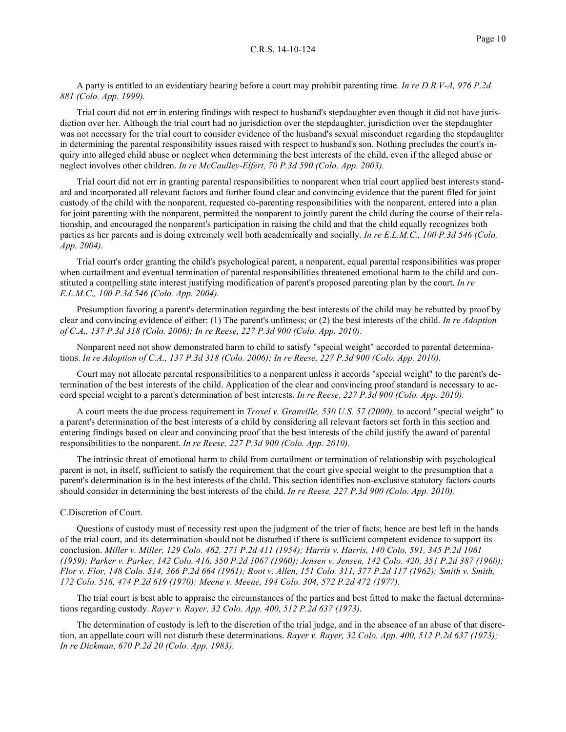A party is entitled to an evidentiary hearing before a court may prohibit parenting time. *In re D.R.V-A, 976 P.2d 881 (Colo. App. 1999).*

Trial court did not err in entering findings with respect to husband's stepdaughter even though it did not have jurisdiction over her. Although the trial court had no jurisdiction over the stepdaughter, jurisdiction over the stepdaughter was not necessary for the trial court to consider evidence of the husband's sexual misconduct regarding the stepdaughter in determining the parental responsibility issues raised with respect to husband's son. Nothing precludes the court's inquiry into alleged child abuse or neglect when determining the best interests of the child, even if the alleged abuse or neglect involves other children. *In re McCaulley-Elfert, 70 P.3d 590 (Colo. App. 2003).*

Trial court did not err in granting parental responsibilities to nonparent when trial court applied best interests standard and incorporated all relevant factors and further found clear and convincing evidence that the parent filed for joint custody of the child with the nonparent, requested co-parenting responsibilities with the nonparent, entered into a plan for joint parenting with the nonparent, permitted the nonparent to jointly parent the child during the course of their relationship, and encouraged the nonparent's participation in raising the child and that the child equally recognizes both parties as her parents and is doing extremely well both academically and socially. *In re E.L.M.C., 100 P.3d 546 (Colo. App. 2004).*

Trial court's order granting the child's psychological parent, a nonparent, equal parental responsibilities was proper when curtailment and eventual termination of parental responsibilities threatened emotional harm to the child and constituted a compelling state interest justifying modification of parent's proposed parenting plan by the court. *In re E.L.M.C., 100 P.3d 546 (Colo. App. 2004).*

Presumption favoring a parent's determination regarding the best interests of the child may be rebutted by proof by clear and convincing evidence of either: (1) The parent's unfitness; or (2) the best interests of the child. *In re Adoption of C.A., 137 P.3d 318 (Colo. 2006); In re Reese, 227 P.3d 900 (Colo. App. 2010).*

Nonparent need not show demonstrated harm to child to satisfy "special weight" accorded to parental determinations. *In re Adoption of C.A., 137 P.3d 318 (Colo. 2006); In re Reese, 227 P.3d 900 (Colo. App. 2010).*

Court may not allocate parental responsibilities to a nonparent unless it accords "special weight" to the parent's determination of the best interests of the child. Application of the clear and convincing proof standard is necessary to accord special weight to a parent's determination of best interests. *In re Reese, 227 P.3d 900 (Colo. App. 2010).*

A court meets the due process requirement in *Troxel v. Granville, 530 U.S. 57 (2000),* to accord "special weight" to a parent's determination of the best interests of a child by considering all relevant factors set forth in this section and entering findings based on clear and convincing proof that the best interests of the child justify the award of parental responsibilities to the nonparent. *In re Reese, 227 P.3d 900 (Colo. App. 2010).*

The intrinsic threat of emotional harm to child from curtailment or termination of relationship with psychological parent is not, in itself, sufficient to satisfy the requirement that the court give special weight to the presumption that a parent's determination is in the best interests of the child. This section identifies non-exclusive statutory factors courts should consider in determining the best interests of the child. *In re Reese, 227 P.3d 900 (Colo. App. 2010).*

# C.Discretion of Court.

Questions of custody must of necessity rest upon the judgment of the trier of facts; hence are best left in the hands of the trial court, and its determination should not be disturbed if there is sufficient competent evidence to support its conclusion. *Miller v. Miller, 129 Colo. 462, 271 P.2d 411 (1954); Harris v. Harris, 140 Colo. 591, 345 P.2d 1061 (1959); Parker v. Parker, 142 Colo. 416, 350 P.2d 1067 (1960); Jensen v. Jensen, 142 Colo. 420, 351 P.2d 387 (1960); Flor v. Flor, 148 Colo. 514, 366 P.2d 664 (1961); Root v. Allen, 151 Colo. 311, 377 P.2d 117 (1962); Smith v. Smith, 172 Colo. 516, 474 P.2d 619 (1970); Meene v. Meene, 194 Colo. 304, 572 P.2d 472 (1977).*

The trial court is best able to appraise the circumstances of the parties and best fitted to make the factual determinations regarding custody. *Rayer v. Rayer, 32 Colo. App. 400, 512 P.2d 637 (1973).*

The determination of custody is left to the discretion of the trial judge, and in the absence of an abuse of that discretion, an appellate court will not disturb these determinations. *Rayer v. Rayer, 32 Colo. App. 400, 512 P.2d 637 (1973); In re Dickman, 670 P.2d 20 (Colo. App. 1983).*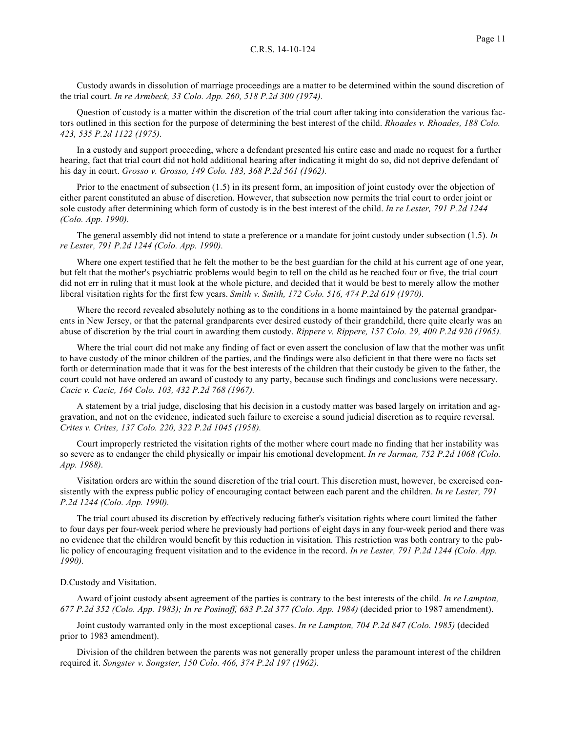Custody awards in dissolution of marriage proceedings are a matter to be determined within the sound discretion of the trial court. *In re Armbeck, 33 Colo. App. 260, 518 P.2d 300 (1974).*

Question of custody is a matter within the discretion of the trial court after taking into consideration the various factors outlined in this section for the purpose of determining the best interest of the child. *Rhoades v. Rhoades, 188 Colo. 423, 535 P.2d 1122 (1975).*

In a custody and support proceeding, where a defendant presented his entire case and made no request for a further hearing, fact that trial court did not hold additional hearing after indicating it might do so, did not deprive defendant of his day in court. *Grosso v. Grosso, 149 Colo. 183, 368 P.2d 561 (1962).*

Prior to the enactment of subsection (1.5) in its present form, an imposition of joint custody over the objection of either parent constituted an abuse of discretion. However, that subsection now permits the trial court to order joint or sole custody after determining which form of custody is in the best interest of the child. *In re Lester, 791 P.2d 1244 (Colo. App. 1990).*

The general assembly did not intend to state a preference or a mandate for joint custody under subsection (1.5). *In re Lester, 791 P.2d 1244 (Colo. App. 1990).*

Where one expert testified that he felt the mother to be the best guardian for the child at his current age of one year, but felt that the mother's psychiatric problems would begin to tell on the child as he reached four or five, the trial court did not err in ruling that it must look at the whole picture, and decided that it would be best to merely allow the mother liberal visitation rights for the first few years. *Smith v. Smith, 172 Colo. 516, 474 P.2d 619 (1970).*

Where the record revealed absolutely nothing as to the conditions in a home maintained by the paternal grandparents in New Jersey, or that the paternal grandparents ever desired custody of their grandchild, there quite clearly was an abuse of discretion by the trial court in awarding them custody. *Rippere v. Rippere, 157 Colo. 29, 400 P.2d 920 (1965).*

Where the trial court did not make any finding of fact or even assert the conclusion of law that the mother was unfit to have custody of the minor children of the parties, and the findings were also deficient in that there were no facts set forth or determination made that it was for the best interests of the children that their custody be given to the father, the court could not have ordered an award of custody to any party, because such findings and conclusions were necessary. *Cacic v. Cacic, 164 Colo. 103, 432 P.2d 768 (1967).*

A statement by a trial judge, disclosing that his decision in a custody matter was based largely on irritation and aggravation, and not on the evidence, indicated such failure to exercise a sound judicial discretion as to require reversal. *Crites v. Crites, 137 Colo. 220, 322 P.2d 1045 (1958).*

Court improperly restricted the visitation rights of the mother where court made no finding that her instability was so severe as to endanger the child physically or impair his emotional development. *In re Jarman, 752 P.2d 1068 (Colo. App. 1988).*

Visitation orders are within the sound discretion of the trial court. This discretion must, however, be exercised consistently with the express public policy of encouraging contact between each parent and the children. *In re Lester, 791 P.2d 1244 (Colo. App. 1990).*

The trial court abused its discretion by effectively reducing father's visitation rights where court limited the father to four days per four-week period where he previously had portions of eight days in any four-week period and there was no evidence that the children would benefit by this reduction in visitation. This restriction was both contrary to the public policy of encouraging frequent visitation and to the evidence in the record. *In re Lester, 791 P.2d 1244 (Colo. App. 1990).*

## D.Custody and Visitation.

Award of joint custody absent agreement of the parties is contrary to the best interests of the child. *In re Lampton, 677 P.2d 352 (Colo. App. 1983); In re Posinoff, 683 P.2d 377 (Colo. App. 1984)* (decided prior to 1987 amendment).

Joint custody warranted only in the most exceptional cases. *In re Lampton, 704 P.2d 847 (Colo. 1985)* (decided prior to 1983 amendment).

Division of the children between the parents was not generally proper unless the paramount interest of the children required it. *Songster v. Songster, 150 Colo. 466, 374 P.2d 197 (1962).*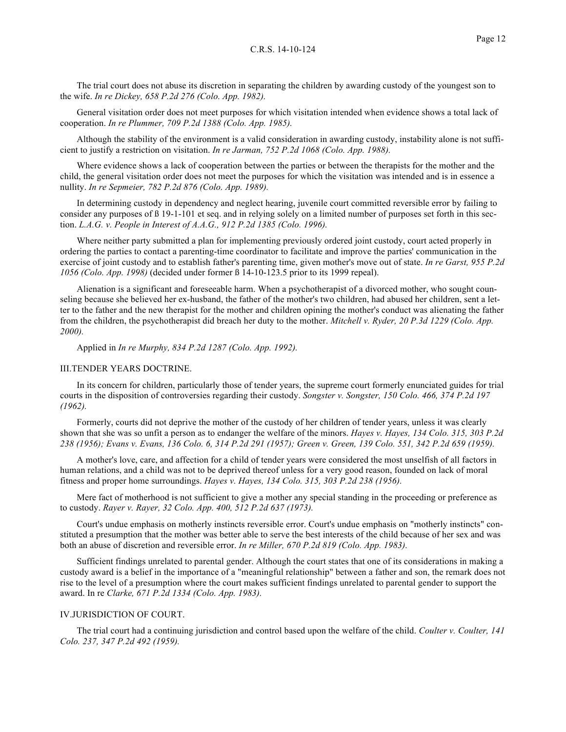The trial court does not abuse its discretion in separating the children by awarding custody of the youngest son to the wife. *In re Dickey, 658 P.2d 276 (Colo. App. 1982).*

General visitation order does not meet purposes for which visitation intended when evidence shows a total lack of cooperation. *In re Plummer, 709 P.2d 1388 (Colo. App. 1985).*

Although the stability of the environment is a valid consideration in awarding custody, instability alone is not sufficient to justify a restriction on visitation. *In re Jarman, 752 P.2d 1068 (Colo. App. 1988).*

Where evidence shows a lack of cooperation between the parties or between the therapists for the mother and the child, the general visitation order does not meet the purposes for which the visitation was intended and is in essence a nullity. *In re Sepmeier, 782 P.2d 876 (Colo. App. 1989).*

In determining custody in dependency and neglect hearing, juvenile court committed reversible error by failing to consider any purposes of ß 19-1-101 et seq. and in relying solely on a limited number of purposes set forth in this section. *L.A.G. v. People in Interest of A.A.G., 912 P.2d 1385 (Colo. 1996).*

Where neither party submitted a plan for implementing previously ordered joint custody, court acted properly in ordering the parties to contact a parenting-time coordinator to facilitate and improve the parties' communication in the exercise of joint custody and to establish father's parenting time, given mother's move out of state. *In re Garst, 955 P.2d 1056 (Colo. App. 1998)* (decided under former ß 14-10-123.5 prior to its 1999 repeal).

Alienation is a significant and foreseeable harm. When a psychotherapist of a divorced mother, who sought counseling because she believed her ex-husband, the father of the mother's two children, had abused her children, sent a letter to the father and the new therapist for the mother and children opining the mother's conduct was alienating the father from the children, the psychotherapist did breach her duty to the mother. *Mitchell v. Ryder, 20 P.3d 1229 (Colo. App. 2000).*

Applied in *In re Murphy, 834 P.2d 1287 (Colo. App. 1992).*

## III.TENDER YEARS DOCTRINE.

In its concern for children, particularly those of tender years, the supreme court formerly enunciated guides for trial courts in the disposition of controversies regarding their custody. *Songster v. Songster, 150 Colo. 466, 374 P.2d 197 (1962).*

Formerly, courts did not deprive the mother of the custody of her children of tender years, unless it was clearly shown that she was so unfit a person as to endanger the welfare of the minors. *Hayes v. Hayes, 134 Colo. 315, 303 P.2d 238 (1956); Evans v. Evans, 136 Colo. 6, 314 P.2d 291 (1957); Green v. Green, 139 Colo. 551, 342 P.2d 659 (1959).*

A mother's love, care, and affection for a child of tender years were considered the most unselfish of all factors in human relations, and a child was not to be deprived thereof unless for a very good reason, founded on lack of moral fitness and proper home surroundings. *Hayes v. Hayes, 134 Colo. 315, 303 P.2d 238 (1956).*

Mere fact of motherhood is not sufficient to give a mother any special standing in the proceeding or preference as to custody. *Rayer v. Rayer, 32 Colo. App. 400, 512 P.2d 637 (1973).*

Court's undue emphasis on motherly instincts reversible error. Court's undue emphasis on "motherly instincts" constituted a presumption that the mother was better able to serve the best interests of the child because of her sex and was both an abuse of discretion and reversible error. *In re Miller, 670 P.2d 819 (Colo. App. 1983).*

Sufficient findings unrelated to parental gender. Although the court states that one of its considerations in making a custody award is a belief in the importance of a "meaningful relationship" between a father and son, the remark does not rise to the level of a presumption where the court makes sufficient findings unrelated to parental gender to support the award. In re *Clarke, 671 P.2d 1334 (Colo. App. 1983).*

# IV.JURISDICTION OF COURT.

The trial court had a continuing jurisdiction and control based upon the welfare of the child. *Coulter v. Coulter, 141 Colo. 237, 347 P.2d 492 (1959).*